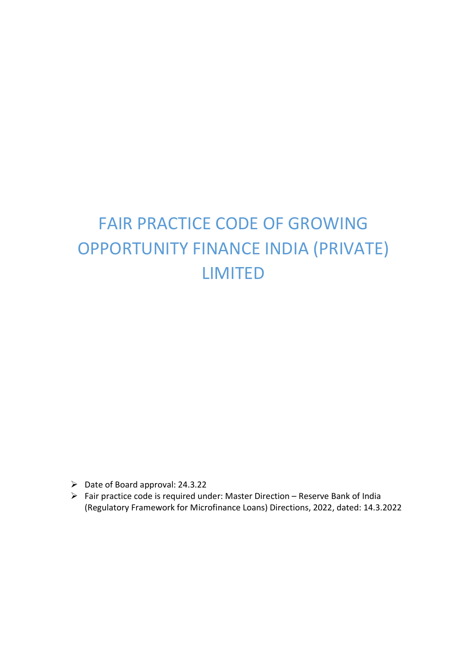# FAIR PRACTICE CODE OF GROWING OPPORTUNITY FINANCE INDIA (PRIVATE) LIMITED

- $\triangleright$  Date of Board approval: 24.3.22
- Fair practice code is required under: Master Direction Reserve Bank of India (Regulatory Framework for Microfinance Loans) Directions, 2022, dated: 14.3.2022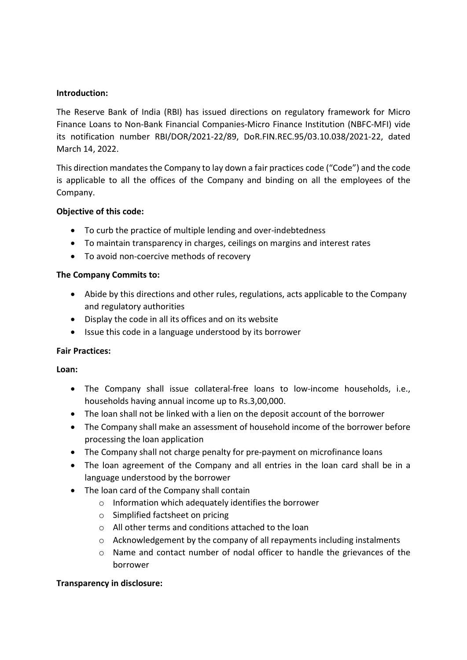#### Introduction:

The Reserve Bank of India (RBI) has issued directions on regulatory framework for Micro Finance Loans to Non-Bank Financial Companies-Micro Finance Institution (NBFC-MFI) vide its notification number RBI/DOR/2021-22/89, DoR.FIN.REC.95/03.10.038/2021-22, dated March 14, 2022.

This direction mandates the Company to lay down a fair practices code ("Code") and the code is applicable to all the offices of the Company and binding on all the employees of the Company.

#### Objective of this code:

- To curb the practice of multiple lending and over-indebtedness
- To maintain transparency in charges, ceilings on margins and interest rates
- To avoid non-coercive methods of recovery

#### The Company Commits to:

- Abide by this directions and other rules, regulations, acts applicable to the Company and regulatory authorities
- Display the code in all its offices and on its website
- Issue this code in a language understood by its borrower

#### Fair Practices:

#### Loan:

- The Company shall issue collateral-free loans to low-income households, i.e., households having annual income up to Rs.3,00,000.
- The loan shall not be linked with a lien on the deposit account of the borrower
- The Company shall make an assessment of household income of the borrower before processing the loan application
- The Company shall not charge penalty for pre-payment on microfinance loans
- The loan agreement of the Company and all entries in the loan card shall be in a language understood by the borrower
- The loan card of the Company shall contain
	- o Information which adequately identifies the borrower
	- o Simplified factsheet on pricing
	- o All other terms and conditions attached to the loan
	- o Acknowledgement by the company of all repayments including instalments
	- o Name and contact number of nodal officer to handle the grievances of the borrower

## Transparency in disclosure: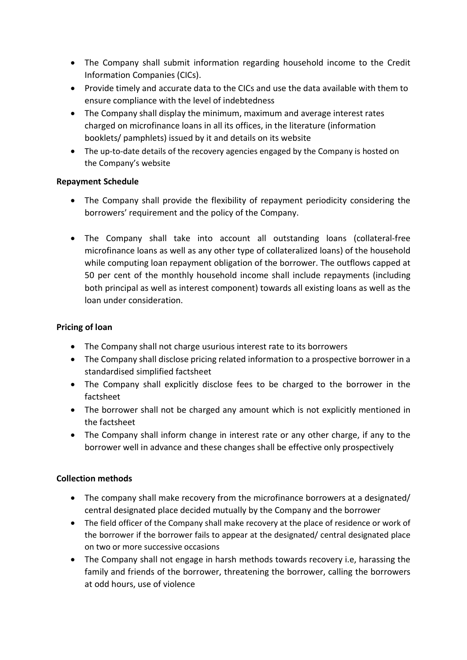- The Company shall submit information regarding household income to the Credit Information Companies (CICs).
- Provide timely and accurate data to the CICs and use the data available with them to ensure compliance with the level of indebtedness
- The Company shall display the minimum, maximum and average interest rates charged on microfinance loans in all its offices, in the literature (information booklets/ pamphlets) issued by it and details on its website
- The up-to-date details of the recovery agencies engaged by the Company is hosted on the Company's website

## Repayment Schedule

- The Company shall provide the flexibility of repayment periodicity considering the borrowers' requirement and the policy of the Company.
- The Company shall take into account all outstanding loans (collateral-free microfinance loans as well as any other type of collateralized loans) of the household while computing loan repayment obligation of the borrower. The outflows capped at 50 per cent of the monthly household income shall include repayments (including both principal as well as interest component) towards all existing loans as well as the loan under consideration.

#### Pricing of loan

- The Company shall not charge usurious interest rate to its borrowers
- The Company shall disclose pricing related information to a prospective borrower in a standardised simplified factsheet
- The Company shall explicitly disclose fees to be charged to the borrower in the factsheet
- The borrower shall not be charged any amount which is not explicitly mentioned in the factsheet
- The Company shall inform change in interest rate or any other charge, if any to the borrower well in advance and these changes shall be effective only prospectively

## Collection methods

- The company shall make recovery from the microfinance borrowers at a designated/ central designated place decided mutually by the Company and the borrower
- The field officer of the Company shall make recovery at the place of residence or work of the borrower if the borrower fails to appear at the designated/ central designated place on two or more successive occasions
- The Company shall not engage in harsh methods towards recovery i.e, harassing the family and friends of the borrower, threatening the borrower, calling the borrowers at odd hours, use of violence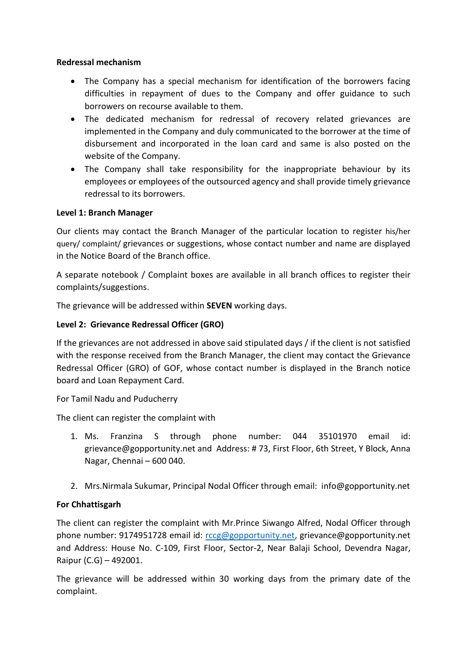#### Redressal mechanism

- The Company has a special mechanism for identification of the borrowers facing difficulties in repayment of dues to the Company and offer guidance to such borrowers on recourse available to them.
- The dedicated mechanism for redressal of recovery related grievances are implemented in the Company and duly communicated to the borrower at the time of disbursement and incorporated in the loan card and same is also posted on the website of the Company.
- The Company shall take responsibility for the inappropriate behaviour by its employees or employees of the outsourced agency and shall provide timely grievance redressal to its borrowers.

## Level 1: Branch Manager

Our clients may contact the Branch Manager of the particular location to register his/her query/ complaint/ grievances or suggestions, whose contact number and name are displayed in the Notice Board of the Branch office.

A separate notebook / Complaint boxes are available in all branch offices to register their complaints/suggestions.

The grievance will be addressed within SEVEN working days.

#### Level 2: Grievance Redressal Officer (GRO)

If the grievances are not addressed in above said stipulated days / if the client is not satisfied with the response received from the Branch Manager, the client may contact the Grievance Redressal Officer (GRO) of GOF, whose contact number is displayed in the Branch notice board and Loan Repayment Card.

For Tamil Nadu and Puducherry

The client can register the complaint with

- 1. Ms. Franzina S through phone number: 044 35101970 email id: grievance@gopportunity.net and Address: # 73, First Floor, 6th Street, Y Block, Anna Nagar, Chennai – 600 040.
- 2. Mrs.Nirmala Sukumar, Principal Nodal Officer through email: info@gopportunity.net

## For Chhattisgarh

The client can register the complaint with Mr.Prince Siwango Alfred, Nodal Officer through phone number: 9174951728 email id: rccg@gopportunity.net, grievance@gopportunity.net and Address: House No. C-109, First Floor, Sector-2, Near Balaji School, Devendra Nagar, Raipur (C.G) – 492001.

The grievance will be addressed within 30 working days from the primary date of the complaint.